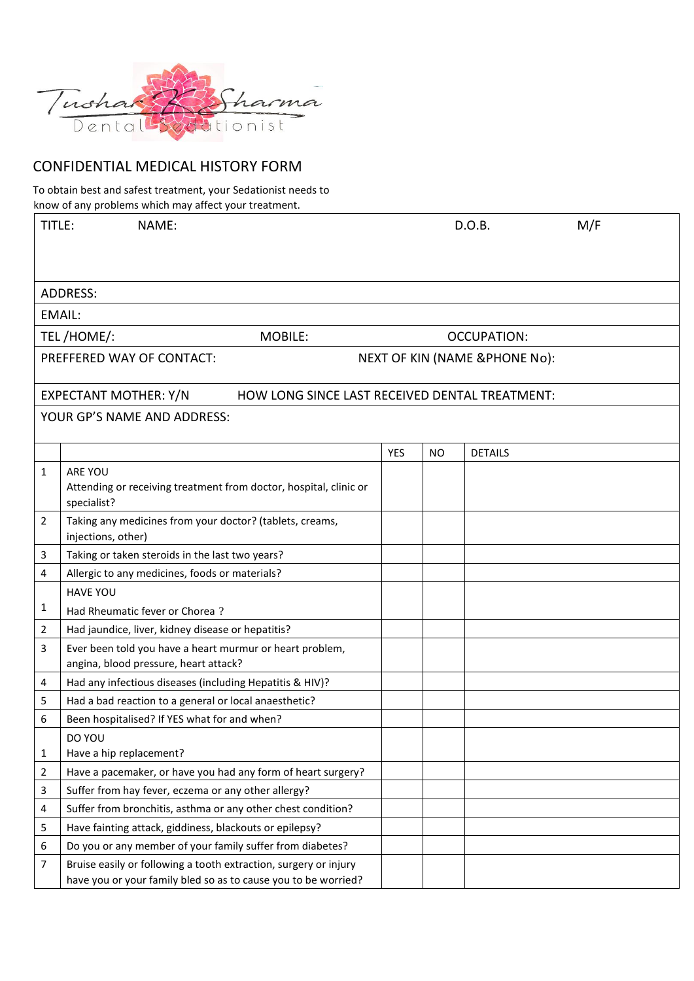

## CONFIDENTIAL MEDICAL HISTORY FORM

To obtain best and safest treatment, your Sedationist needs to know of any problems which may affect your treatment.

| TITLE:                                                                  | NAME:                                                                                                               |     |     | D.O.B.         | M/F |  |  |  |
|-------------------------------------------------------------------------|---------------------------------------------------------------------------------------------------------------------|-----|-----|----------------|-----|--|--|--|
|                                                                         |                                                                                                                     |     |     |                |     |  |  |  |
|                                                                         |                                                                                                                     |     |     |                |     |  |  |  |
| <b>ADDRESS:</b>                                                         |                                                                                                                     |     |     |                |     |  |  |  |
|                                                                         |                                                                                                                     |     |     |                |     |  |  |  |
| EMAIL:                                                                  |                                                                                                                     |     |     |                |     |  |  |  |
| TEL/HOME/:<br>MOBILE:                                                   |                                                                                                                     |     |     | OCCUPATION:    |     |  |  |  |
| PREFFERED WAY OF CONTACT:<br><b>NEXT OF KIN (NAME &amp;PHONE No):</b>   |                                                                                                                     |     |     |                |     |  |  |  |
| EXPECTANT MOTHER: Y/N<br>HOW LONG SINCE LAST RECEIVED DENTAL TREATMENT: |                                                                                                                     |     |     |                |     |  |  |  |
| YOUR GP'S NAME AND ADDRESS:                                             |                                                                                                                     |     |     |                |     |  |  |  |
|                                                                         |                                                                                                                     |     |     |                |     |  |  |  |
|                                                                         |                                                                                                                     | YES | NO. | <b>DETAILS</b> |     |  |  |  |
| 1                                                                       | ARE YOU                                                                                                             |     |     |                |     |  |  |  |
|                                                                         | Attending or receiving treatment from doctor, hospital, clinic or                                                   |     |     |                |     |  |  |  |
| 2                                                                       | specialist?<br>Taking any medicines from your doctor? (tablets, creams,                                             |     |     |                |     |  |  |  |
|                                                                         | injections, other)                                                                                                  |     |     |                |     |  |  |  |
| 3                                                                       | Taking or taken steroids in the last two years?                                                                     |     |     |                |     |  |  |  |
| 4                                                                       | Allergic to any medicines, foods or materials?                                                                      |     |     |                |     |  |  |  |
|                                                                         | <b>HAVE YOU</b>                                                                                                     |     |     |                |     |  |  |  |
| 1                                                                       | Had Rheumatic fever or Chorea?                                                                                      |     |     |                |     |  |  |  |
| 2                                                                       | Had jaundice, liver, kidney disease or hepatitis?                                                                   |     |     |                |     |  |  |  |
| 3                                                                       | Ever been told you have a heart murmur or heart problem,                                                            |     |     |                |     |  |  |  |
|                                                                         | angina, blood pressure, heart attack?                                                                               |     |     |                |     |  |  |  |
| 4                                                                       | Had any infectious diseases (including Hepatitis & HIV)?                                                            |     |     |                |     |  |  |  |
| 5                                                                       | Had a bad reaction to a general or local anaesthetic?                                                               |     |     |                |     |  |  |  |
| 6                                                                       | Been hospitalised? If YES what for and when?                                                                        |     |     |                |     |  |  |  |
|                                                                         | DO YOU<br>Have a hip replacement?                                                                                   |     |     |                |     |  |  |  |
| 1<br>$\overline{2}$                                                     |                                                                                                                     |     |     |                |     |  |  |  |
| 3                                                                       | Have a pacemaker, or have you had any form of heart surgery?<br>Suffer from hay fever, eczema or any other allergy? |     |     |                |     |  |  |  |
| 4                                                                       | Suffer from bronchitis, asthma or any other chest condition?                                                        |     |     |                |     |  |  |  |
| 5                                                                       | Have fainting attack, giddiness, blackouts or epilepsy?                                                             |     |     |                |     |  |  |  |
| 6                                                                       | Do you or any member of your family suffer from diabetes?                                                           |     |     |                |     |  |  |  |
| 7                                                                       | Bruise easily or following a tooth extraction, surgery or injury                                                    |     |     |                |     |  |  |  |
|                                                                         | have you or your family bled so as to cause you to be worried?                                                      |     |     |                |     |  |  |  |
|                                                                         |                                                                                                                     |     |     |                |     |  |  |  |